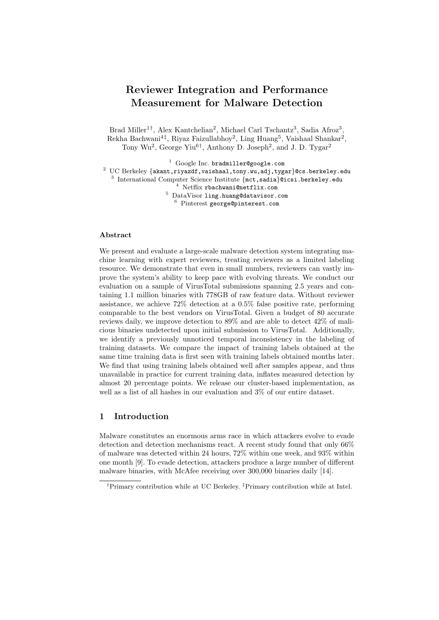# Reviewer Integration and Performance Measurement for Malware Detection

Brad Miller<sup>1†</sup>, Alex Kantchelian<sup>2</sup>, Michael Carl Tschantz<sup>3</sup>, Sadia Afroz<sup>3</sup>, Rekha Bachwani<sup>4‡</sup>, Riyaz Faizullabhoy<sup>2</sup>, Ling Huang<sup>5</sup>, Vaishaal Shankar<sup>2</sup>, Tony Wu<sup>2</sup>, George Yiu<sup>6†</sup>, Anthony D. Joseph<sup>2</sup>, and J. D. Tygar<sup>2</sup>

<sup>1</sup> Google Inc. bradmiller@google.com

 $2 \text{ UC}$  Berkeley {akant,riyazdf,vaishaal,tony.wu,adj,tygar}@cs.berkeley.edu <sup>3</sup> International Computer Science Institute  $\{\texttt{mct}, \texttt{sadia}\}$ @icsi.berkeley.edu <sup>4</sup> Netflix rbachwani@netflix.com <sup>5</sup> DataVisor ling.huang@datavisor.com

<sup>6</sup> Pinterest george@pinterest.com

#### Abstract

We present and evaluate a large-scale malware detection system integrating machine learning with expert reviewers, treating reviewers as a limited labeling resource. We demonstrate that even in small numbers, reviewers can vastly improve the system's ability to keep pace with evolving threats. We conduct our evaluation on a sample of VirusTotal submissions spanning 2.5 years and containing 1.1 million binaries with 778GB of raw feature data. Without reviewer assistance, we achieve 72% detection at a 0.5% false positive rate, performing comparable to the best vendors on VirusTotal. Given a budget of 80 accurate reviews daily, we improve detection to 89% and are able to detect 42% of malicious binaries undetected upon initial submission to VirusTotal. Additionally, we identify a previously unnoticed temporal inconsistency in the labeling of training datasets. We compare the impact of training labels obtained at the same time training data is first seen with training labels obtained months later. We find that using training labels obtained well after samples appear, and thus unavailable in practice for current training data, inflates measured detection by almost 20 percentage points. We release our cluster-based implementation, as well as a list of all hashes in our evaluation and 3% of our entire dataset.

# 1 Introduction

Malware constitutes an enormous arms race in which attackers evolve to evade detection and detection mechanisms react. A recent study found that only 66% of malware was detected within 24 hours, 72% within one week, and 93% within one month [9]. To evade detection, attackers produce a large number of different malware binaries, with McAfee receiving over 300,000 binaries daily [14].

<sup>†</sup>Primary contribution while at UC Berkeley. ‡Primary contribution while at Intel.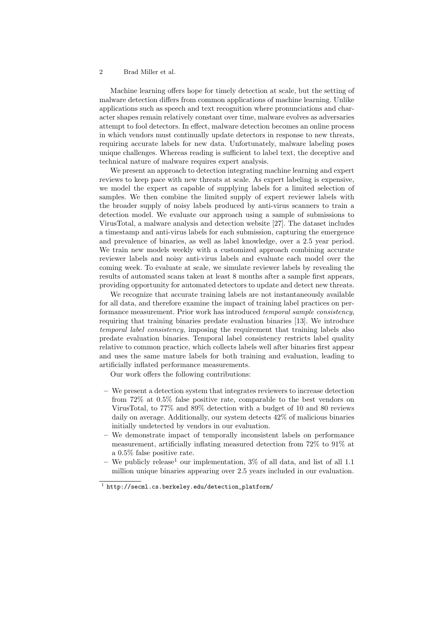Machine learning offers hope for timely detection at scale, but the setting of malware detection differs from common applications of machine learning. Unlike applications such as speech and text recognition where pronunciations and character shapes remain relatively constant over time, malware evolves as adversaries attempt to fool detectors. In effect, malware detection becomes an online process in which vendors must continually update detectors in response to new threats, requiring accurate labels for new data. Unfortunately, malware labeling poses unique challenges. Whereas reading is sufficient to label text, the deceptive and technical nature of malware requires expert analysis.

We present an approach to detection integrating machine learning and expert reviews to keep pace with new threats at scale. As expert labeling is expensive, we model the expert as capable of supplying labels for a limited selection of samples. We then combine the limited supply of expert reviewer labels with the broader supply of noisy labels produced by anti-virus scanners to train a detection model. We evaluate our approach using a sample of submissions to VirusTotal, a malware analysis and detection website [27]. The dataset includes a timestamp and anti-virus labels for each submission, capturing the emergence and prevalence of binaries, as well as label knowledge, over a 2.5 year period. We train new models weekly with a customized approach combining accurate reviewer labels and noisy anti-virus labels and evaluate each model over the coming week. To evaluate at scale, we simulate reviewer labels by revealing the results of automated scans taken at least 8 months after a sample first appears, providing opportunity for automated detectors to update and detect new threats.

We recognize that accurate training labels are not instantaneously available for all data, and therefore examine the impact of training label practices on performance measurement. Prior work has introduced temporal sample consistency, requiring that training binaries predate evaluation binaries [13]. We introduce temporal label consistency, imposing the requirement that training labels also predate evaluation binaries. Temporal label consistency restricts label quality relative to common practice, which collects labels well after binaries first appear and uses the same mature labels for both training and evaluation, leading to artificially inflated performance measurements.

Our work offers the following contributions:

- We present a detection system that integrates reviewers to increase detection from 72% at 0.5% false positive rate, comparable to the best vendors on VirusTotal, to 77% and 89% detection with a budget of 10 and 80 reviews daily on average. Additionally, our system detects 42% of malicious binaries initially undetected by vendors in our evaluation.
- We demonstrate impact of temporally inconsistent labels on performance measurement, artificially inflating measured detection from 72% to 91% at a 0.5% false positive rate.
- We publicly release<sup>1</sup> our implementation,  $3\%$  of all data, and list of all 1.1 million unique binaries appearing over 2.5 years included in our evaluation.

 $^1$  http://secml.cs.berkeley.edu/detection\_platform/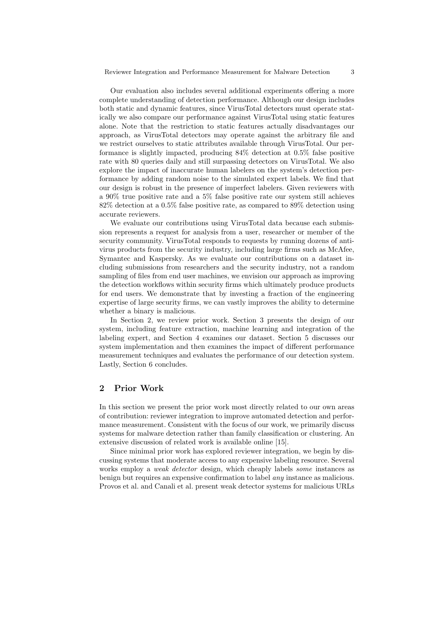Our evaluation also includes several additional experiments offering a more complete understanding of detection performance. Although our design includes both static and dynamic features, since VirusTotal detectors must operate statically we also compare our performance against VirusTotal using static features alone. Note that the restriction to static features actually disadvantages our approach, as VirusTotal detectors may operate against the arbitrary file and we restrict ourselves to static attributes available through VirusTotal. Our performance is slightly impacted, producing 84% detection at 0.5% false positive rate with 80 queries daily and still surpassing detectors on VirusTotal. We also explore the impact of inaccurate human labelers on the system's detection performance by adding random noise to the simulated expert labels. We find that our design is robust in the presence of imperfect labelers. Given reviewers with a 90% true positive rate and a 5% false positive rate our system still achieves 82% detection at a 0.5% false positive rate, as compared to 89% detection using accurate reviewers.

We evaluate our contributions using VirusTotal data because each submission represents a request for analysis from a user, researcher or member of the security community. VirusTotal responds to requests by running dozens of antivirus products from the security industry, including large firms such as McAfee, Symantec and Kaspersky. As we evaluate our contributions on a dataset including submissions from researchers and the security industry, not a random sampling of files from end user machines, we envision our approach as improving the detection workflows within security firms which ultimately produce products for end users. We demonstrate that by investing a fraction of the engineering expertise of large security firms, we can vastly improves the ability to determine whether a binary is malicious.

In Section 2, we review prior work. Section 3 presents the design of our system, including feature extraction, machine learning and integration of the labeling expert, and Section 4 examines our dataset. Section 5 discusses our system implementation and then examines the impact of different performance measurement techniques and evaluates the performance of our detection system. Lastly, Section 6 concludes.

## 2 Prior Work

In this section we present the prior work most directly related to our own areas of contribution: reviewer integration to improve automated detection and performance measurement. Consistent with the focus of our work, we primarily discuss systems for malware detection rather than family classification or clustering. An extensive discussion of related work is available online [15].

Since minimal prior work has explored reviewer integration, we begin by discussing systems that moderate access to any expensive labeling resource. Several works employ a *weak detector* design, which cheaply labels *some* instances as benign but requires an expensive confirmation to label any instance as malicious. Provos et al. and Canali et al. present weak detector systems for malicious URLs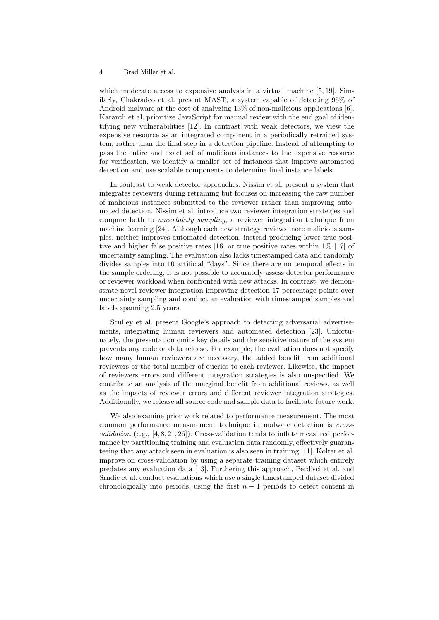which moderate access to expensive analysis in a virtual machine [5, 19]. Similarly, Chakradeo et al. present MAST, a system capable of detecting 95% of Android malware at the cost of analyzing 13% of non-malicious applications [6]. Karanth et al. prioritize JavaScript for manual review with the end goal of identifying new vulnerabilities [12]. In contrast with weak detectors, we view the expensive resource as an integrated component in a periodically retrained system, rather than the final step in a detection pipeline. Instead of attempting to pass the entire and exact set of malicious instances to the expensive resource for verification, we identify a smaller set of instances that improve automated detection and use scalable components to determine final instance labels.

In contrast to weak detector approaches, Nissim et al. present a system that integrates reviewers during retraining but focuses on increasing the raw number of malicious instances submitted to the reviewer rather than improving automated detection. Nissim et al. introduce two reviewer integration strategies and compare both to uncertainty sampling, a reviewer integration technique from machine learning [24]. Although each new strategy reviews more malicious samples, neither improves automated detection, instead producing lower true positive and higher false positive rates [16] or true positive rates within 1% [17] of uncertainty sampling. The evaluation also lacks timestamped data and randomly divides samples into 10 artificial "days". Since there are no temporal effects in the sample ordering, it is not possible to accurately assess detector performance or reviewer workload when confronted with new attacks. In contrast, we demonstrate novel reviewer integration improving detection 17 percentage points over uncertainty sampling and conduct an evaluation with timestamped samples and labels spanning 2.5 years.

Sculley et al. present Google's approach to detecting adversarial advertisements, integrating human reviewers and automated detection [23]. Unfortunately, the presentation omits key details and the sensitive nature of the system prevents any code or data release. For example, the evaluation does not specify how many human reviewers are necessary, the added benefit from additional reviewers or the total number of queries to each reviewer. Likewise, the impact of reviewers errors and different integration strategies is also unspecified. We contribute an analysis of the marginal benefit from additional reviews, as well as the impacts of reviewer errors and different reviewer integration strategies. Additionally, we release all source code and sample data to facilitate future work.

We also examine prior work related to performance measurement. The most common performance measurement technique in malware detection is cross*validation* (e.g.,  $[4, 8, 21, 26]$ ). Cross-validation tends to inflate measured performance by partitioning training and evaluation data randomly, effectively guaranteeing that any attack seen in evaluation is also seen in training [11]. Kolter et al. improve on cross-validation by using a separate training dataset which entirely predates any evaluation data [13]. Furthering this approach, Perdisci et al. and Srndic et al. conduct evaluations which use a single timestamped dataset divided chronologically into periods, using the first  $n - 1$  periods to detect content in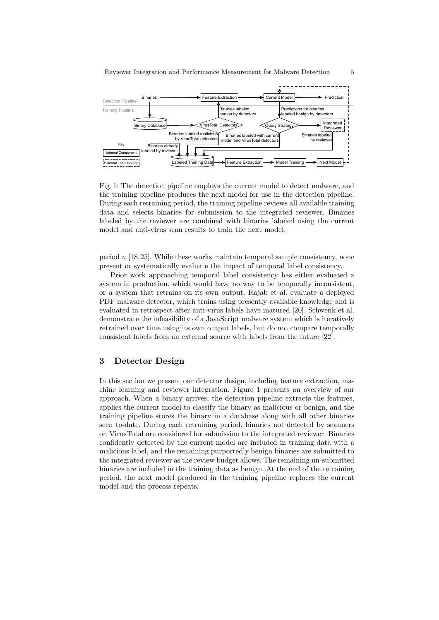

Fig. 1: The detection pipeline employs the current model to detect malware, and the training pipeline produces the next model for use in the detection pipeline. During each retraining period, the training pipeline reviews all available training data and selects binaries for submission to the integrated reviewer. Binaries labeled by the reviewer are combined with binaries labeled using the current model and anti-virus scan results to train the next model.

period  $n$  [18,25]. While these works maintain temporal sample consistency, none present or systematically evaluate the impact of temporal label consistency.

Prior work approaching temporal label consistency has either evaluated a system in production, which would have no way to be temporally inconsistent, or a system that retrains on its own output. Rajab et al. evaluate a deployed PDF malware detector, which trains using presently available knowledge and is evaluated in retrospect after anti-virus labels have matured [20]. Schwenk et al. demonstrate the infeasibility of a JavaScript malware system which is iteratively retrained over time using its own output labels, but do not compare temporally consistent labels from an external source with labels from the future [22].

## 3 Detector Design

In this section we present our detector design, including feature extraction, machine learning and reviewer integration. Figure 1 presents an overview of our approach. When a binary arrives, the detection pipeline extracts the features, applies the current model to classify the binary as malicious or benign, and the training pipeline stores the binary in a database along with all other binaries seen to-date. During each retraining period, binaries not detected by scanners on VirusTotal are considered for submission to the integrated reviewer. Binaries confidently detected by the current model are included in training data with a malicious label, and the remaining purportedly benign binaries are submitted to the integrated reviewer as the review budget allows. The remaining un-submitted binaries are included in the training data as benign. At the end of the retraining period, the next model produced in the training pipeline replaces the current model and the process repeats.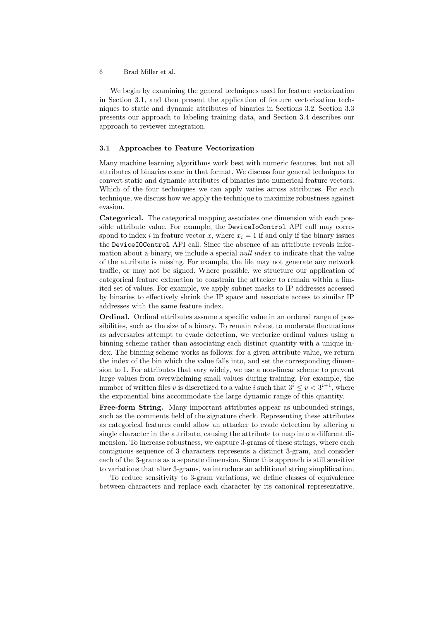We begin by examining the general techniques used for feature vectorization in Section 3.1, and then present the application of feature vectorization techniques to static and dynamic attributes of binaries in Sections 3.2. Section 3.3 presents our approach to labeling training data, and Section 3.4 describes our approach to reviewer integration.

## 3.1 Approaches to Feature Vectorization

Many machine learning algorithms work best with numeric features, but not all attributes of binaries come in that format. We discuss four general techniques to convert static and dynamic attributes of binaries into numerical feature vectors. Which of the four techniques we can apply varies across attributes. For each technique, we discuss how we apply the technique to maximize robustness against evasion.

Categorical. The categorical mapping associates one dimension with each possible attribute value. For example, the DeviceIoControl API call may correspond to index i in feature vector x, where  $x_i = 1$  if and only if the binary issues the DeviceIOControl API call. Since the absence of an attribute reveals information about a binary, we include a special *null index* to indicate that the value of the attribute is missing. For example, the file may not generate any network traffic, or may not be signed. Where possible, we structure our application of categorical feature extraction to constrain the attacker to remain within a limited set of values. For example, we apply subnet masks to IP addresses accessed by binaries to effectively shrink the IP space and associate access to similar IP addresses with the same feature index.

Ordinal. Ordinal attributes assume a specific value in an ordered range of possibilities, such as the size of a binary. To remain robust to moderate fluctuations as adversaries attempt to evade detection, we vectorize ordinal values using a binning scheme rather than associating each distinct quantity with a unique index. The binning scheme works as follows: for a given attribute value, we return the index of the bin which the value falls into, and set the corresponding dimension to 1. For attributes that vary widely, we use a non-linear scheme to prevent large values from overwhelming small values during training. For example, the number of written files v is discretized to a value i such that  $3^i \le v < 3^{i+1}$ , where the exponential bins accommodate the large dynamic range of this quantity.

Free-form String. Many important attributes appear as unbounded strings, such as the comments field of the signature check. Representing these attributes as categorical features could allow an attacker to evade detection by altering a single character in the attribute, causing the attribute to map into a different dimension. To increase robustness, we capture 3-grams of these strings, where each contiguous sequence of 3 characters represents a distinct 3-gram, and consider each of the 3-grams as a separate dimension. Since this approach is still sensitive to variations that alter 3-grams, we introduce an additional string simplification.

To reduce sensitivity to 3-gram variations, we define classes of equivalence between characters and replace each character by its canonical representative.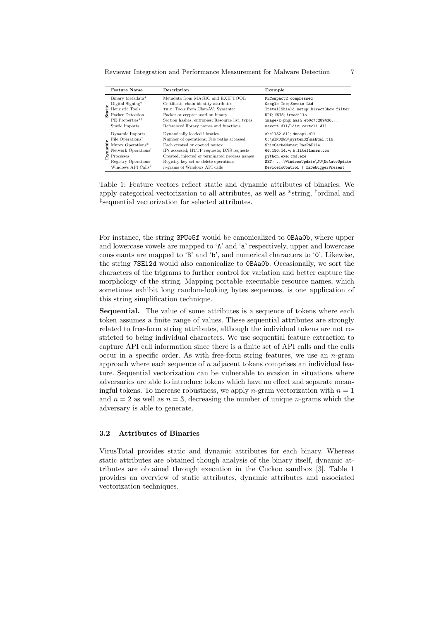Reviewer Integration and Performance Measurement for Malware Detection 7

|        | <b>Feature Name</b>                                                                                  | Description                                     | Example                                |
|--------|------------------------------------------------------------------------------------------------------|-------------------------------------------------|----------------------------------------|
| ä<br>耑 | Binary Metadata*                                                                                     | Metadata from MAGIC and EXIFTOOL                | PECompact2 compressed                  |
|        | Digital Signing*                                                                                     | Certificate chain identity attributes           | Google Inc; Somoto Ltd                 |
|        | Heuristic Tools                                                                                      | TRID; Tools from ClamAV, Symantec               | InstallShield setup; DirectShow filter |
|        | Packer Detection                                                                                     | Packer or crypter used on binary                | UPX; NSIS; Armadillo                   |
|        | PE Properties*†                                                                                      | Section hashes, entropies; Resource list, types | $image/x$ -png; hash:eb0c7c289436      |
|        | Static Imports                                                                                       | Referenced library names and functions          | msvcrt.dll/ldiv; certcli.dll           |
|        | Dynamic Imports                                                                                      | Dynamically loaded libraries                    | shell32.dll; dnsapi.dll                |
|        | $\begin{array}{c}\n\therefore \text{ Imp.} \\ \vdots \\ \text{Pile Operations}^\dagger\n\end{array}$ | Number of operations; File paths accessed       | C:\WINDOWS\system32\mshtml.tlb         |
|        | Mutex Operations*                                                                                    | Each created or opened mutex                    | ShimCacheMutex; RasPbFile              |
|        | Network Operations <sup>†</sup>                                                                      | IPs accessed; HTTP requests; DNS requests       | 66.150.14.*; b.liteflames.com          |
|        | Processes                                                                                            | Created, injected or terminated process names   | python.exe; cmd.exe                    |
|        | Registry Operations                                                                                  | Registry key set or delete operations           | SET:  \WindowsUpdate\AU\NoAutoUpdate   |
|        | Windows API Calls <sup>†</sup>                                                                       | $n$ -grams of Windows API calls                 | DeviceIoControl   IsDebuggerPresent    |

Table 1: Feature vectors reflect static and dynamic attributes of binaries. We apply categorical vectorization to all attributes, as well as \*string, †ordinal and ‡ sequential vectorization for selected attributes.

For instance, the string 3PUe5f would be canonicalized to 0BAa0b, where upper and lowercase vowels are mapped to 'A' and 'a' respectively, upper and lowercase consonants are mapped to 'B' and 'b', and numerical characters to '0'. Likewise, the string 7SEi2d would also canonicalize to 0BAa0b. Occasionally, we sort the characters of the trigrams to further control for variation and better capture the morphology of the string. Mapping portable executable resource names, which sometimes exhibit long random-looking bytes sequences, is one application of this string simplification technique.

Sequential. The value of some attributes is a sequence of tokens where each token assumes a finite range of values. These sequential attributes are strongly related to free-form string attributes, although the individual tokens are not restricted to being individual characters. We use sequential feature extraction to capture API call information since there is a finite set of API calls and the calls occur in a specific order. As with free-form string features, we use an  $n$ -gram approach where each sequence of  $n$  adjacent tokens comprises an individual feature. Sequential vectorization can be vulnerable to evasion in situations where adversaries are able to introduce tokens which have no effect and separate meaningful tokens. To increase robustness, we apply *n*-gram vectorization with  $n = 1$ and  $n = 2$  as well as  $n = 3$ , decreasing the number of unique *n*-grams which the adversary is able to generate.

## 3.2 Attributes of Binaries

VirusTotal provides static and dynamic attributes for each binary. Whereas static attributes are obtained though analysis of the binary itself, dynamic attributes are obtained through execution in the Cuckoo sandbox [3]. Table 1 provides an overview of static attributes, dynamic attributes and associated vectorization techniques.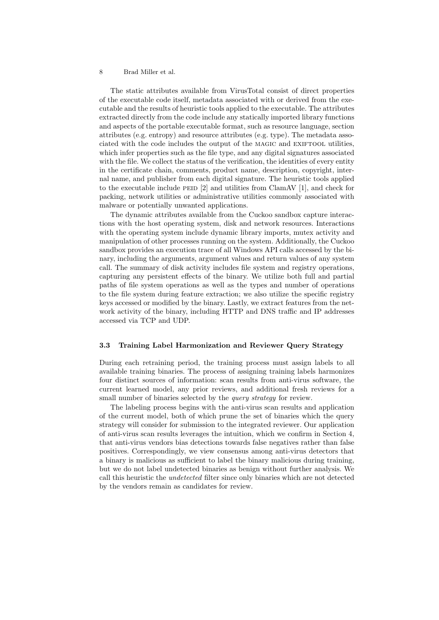The static attributes available from VirusTotal consist of direct properties of the executable code itself, metadata associated with or derived from the executable and the results of heuristic tools applied to the executable. The attributes extracted directly from the code include any statically imported library functions and aspects of the portable executable format, such as resource language, section attributes (e.g. entropy) and resource attributes (e.g. type). The metadata associated with the code includes the output of the magic and exiftool utilities, which infer properties such as the file type, and any digital signatures associated with the file. We collect the status of the verification, the identities of every entity in the certificate chain, comments, product name, description, copyright, internal name, and publisher from each digital signature. The heuristic tools applied to the executable include  $\text{PEID}$  [2] and utilities from ClamAV [1], and check for packing, network utilities or administrative utilities commonly associated with malware or potentially unwanted applications.

The dynamic attributes available from the Cuckoo sandbox capture interactions with the host operating system, disk and network resources. Interactions with the operating system include dynamic library imports, mutex activity and manipulation of other processes running on the system. Additionally, the Cuckoo sandbox provides an execution trace of all Windows API calls accessed by the binary, including the arguments, argument values and return values of any system call. The summary of disk activity includes file system and registry operations, capturing any persistent effects of the binary. We utilize both full and partial paths of file system operations as well as the types and number of operations to the file system during feature extraction; we also utilize the specific registry keys accessed or modified by the binary. Lastly, we extract features from the network activity of the binary, including HTTP and DNS traffic and IP addresses accessed via TCP and UDP.

#### 3.3 Training Label Harmonization and Reviewer Query Strategy

During each retraining period, the training process must assign labels to all available training binaries. The process of assigning training labels harmonizes four distinct sources of information: scan results from anti-virus software, the current learned model, any prior reviews, and additional fresh reviews for a small number of binaries selected by the *query strategy* for review.

The labeling process begins with the anti-virus scan results and application of the current model, both of which prune the set of binaries which the query strategy will consider for submission to the integrated reviewer. Our application of anti-virus scan results leverages the intuition, which we confirm in Section 4, that anti-virus vendors bias detections towards false negatives rather than false positives. Correspondingly, we view consensus among anti-virus detectors that a binary is malicious as sufficient to label the binary malicious during training, but we do not label undetected binaries as benign without further analysis. We call this heuristic the undetected filter since only binaries which are not detected by the vendors remain as candidates for review.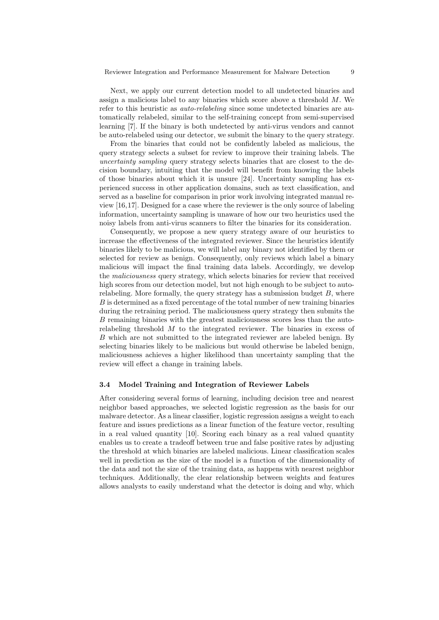Next, we apply our current detection model to all undetected binaries and assign a malicious label to any binaries which score above a threshold  $M$ . We refer to this heuristic as *auto-relabeling* since some undetected binaries are automatically relabeled, similar to the self-training concept from semi-supervised learning [7]. If the binary is both undetected by anti-virus vendors and cannot be auto-relabeled using our detector, we submit the binary to the query strategy.

From the binaries that could not be confidently labeled as malicious, the query strategy selects a subset for review to improve their training labels. The uncertainty sampling query strategy selects binaries that are closest to the decision boundary, intuiting that the model will benefit from knowing the labels of those binaries about which it is unsure [24]. Uncertainty sampling has experienced success in other application domains, such as text classification, and served as a baseline for comparison in prior work involving integrated manual review [16,17]. Designed for a case where the reviewer is the only source of labeling information, uncertainty sampling is unaware of how our two heuristics used the noisy labels from anti-virus scanners to filter the binaries for its consideration.

Consequently, we propose a new query strategy aware of our heuristics to increase the effectiveness of the integrated reviewer. Since the heuristics identify binaries likely to be malicious, we will label any binary not identified by them or selected for review as benign. Consequently, only reviews which label a binary malicious will impact the final training data labels. Accordingly, we develop the maliciousness query strategy, which selects binaries for review that received high scores from our detection model, but not high enough to be subject to autorelabeling. More formally, the query strategy has a submission budget  $B$ , where B is determined as a fixed percentage of the total number of new training binaries during the retraining period. The maliciousness query strategy then submits the B remaining binaries with the greatest maliciousness scores less than the autorelabeling threshold  $M$  to the integrated reviewer. The binaries in excess of B which are not submitted to the integrated reviewer are labeled benign. By selecting binaries likely to be malicious but would otherwise be labeled benign, maliciousness achieves a higher likelihood than uncertainty sampling that the review will effect a change in training labels.

## 3.4 Model Training and Integration of Reviewer Labels

After considering several forms of learning, including decision tree and nearest neighbor based approaches, we selected logistic regression as the basis for our malware detector. As a linear classifier, logistic regression assigns a weight to each feature and issues predictions as a linear function of the feature vector, resulting in a real valued quantity [10]. Scoring each binary as a real valued quantity enables us to create a tradeoff between true and false positive rates by adjusting the threshold at which binaries are labeled malicious. Linear classification scales well in prediction as the size of the model is a function of the dimensionality of the data and not the size of the training data, as happens with nearest neighbor techniques. Additionally, the clear relationship between weights and features allows analysts to easily understand what the detector is doing and why, which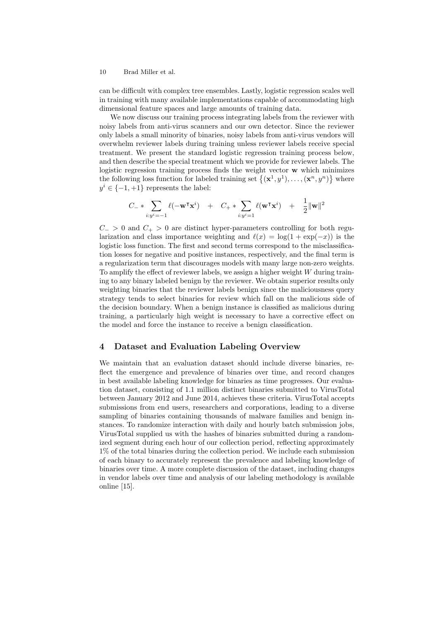can be difficult with complex tree ensembles. Lastly, logistic regression scales well in training with many available implementations capable of accommodating high dimensional feature spaces and large amounts of training data.

We now discuss our training process integrating labels from the reviewer with noisy labels from anti-virus scanners and our own detector. Since the reviewer only labels a small minority of binaries, noisy labels from anti-virus vendors will overwhelm reviewer labels during training unless reviewer labels receive special treatment. We present the standard logistic regression training process below, and then describe the special treatment which we provide for reviewer labels. The logistic regression training process finds the weight vector w which minimizes the following loss function for labeled training set  $\{(\mathbf{x}^1, y^1), \ldots, (\mathbf{x}^n, y^n)\}\$  where  $y^{i} \in \{-1, +1\}$  represents the label:

$$
C_{-} * \sum_{i:y^{i}=-1} \ell(-\mathbf{w}^{\mathsf{T}} \mathbf{x}^{i}) + C_{+} * \sum_{i:y^{i}=1} \ell(\mathbf{w}^{\mathsf{T}} \mathbf{x}^{i}) + \frac{1}{2} {\|\mathbf{w}\|}^{2}
$$

 $C_{-}$  > 0 and  $C_{+}$  > 0 are distinct hyper-parameters controlling for both regularization and class importance weighting and  $\ell(x) = \log(1 + \exp(-x))$  is the logistic loss function. The first and second terms correspond to the misclassification losses for negative and positive instances, respectively, and the final term is a regularization term that discourages models with many large non-zero weights. To amplify the effect of reviewer labels, we assign a higher weight W during training to any binary labeled benign by the reviewer. We obtain superior results only weighting binaries that the reviewer labels benign since the maliciousness query strategy tends to select binaries for review which fall on the malicious side of the decision boundary. When a benign instance is classified as malicious during training, a particularly high weight is necessary to have a corrective effect on the model and force the instance to receive a benign classification.

# 4 Dataset and Evaluation Labeling Overview

We maintain that an evaluation dataset should include diverse binaries, reflect the emergence and prevalence of binaries over time, and record changes in best available labeling knowledge for binaries as time progresses. Our evaluation dataset, consisting of 1.1 million distinct binaries submitted to VirusTotal between January 2012 and June 2014, achieves these criteria. VirusTotal accepts submissions from end users, researchers and corporations, leading to a diverse sampling of binaries containing thousands of malware families and benign instances. To randomize interaction with daily and hourly batch submission jobs, VirusTotal supplied us with the hashes of binaries submitted during a randomized segment during each hour of our collection period, reflecting approximately 1% of the total binaries during the collection period. We include each submission of each binary to accurately represent the prevalence and labeling knowledge of binaries over time. A more complete discussion of the dataset, including changes in vendor labels over time and analysis of our labeling methodology is available online [15].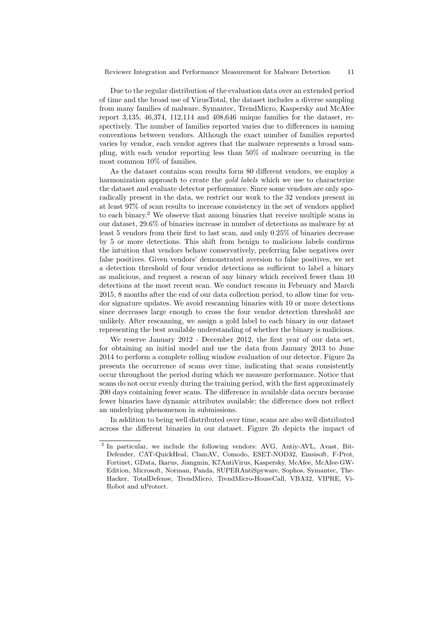Due to the regular distribution of the evaluation data over an extended period of time and the broad use of VirusTotal, the dataset includes a diverse sampling from many families of malware. Symantec, TrendMicro, Kaspersky and McAfee report 3,135, 46,374, 112,114 and 408,646 unique families for the dataset, respectively. The number of families reported varies due to differences in naming conventions between vendors. Although the exact number of families reported varies by vendor, each vendor agrees that the malware represents a broad sampling, with each vendor reporting less than 50% of malware occurring in the most common 10% of families.

As the dataset contains scan results form 80 different vendors, we employ a harmonization approach to create the *gold labels* which we use to characterize the dataset and evaluate detector performance. Since some vendors are only sporadically present in the data, we restrict our work to the 32 vendors present in at least 97% of scan results to increase consistency in the set of vendors applied to each binary.<sup>2</sup> We observe that among binaries that receive multiple scans in our dataset, 29.6% of binaries increase in number of detections as malware by at least 5 vendors from their first to last scan, and only 0.25% of binaries decrease by 5 or more detections. This shift from benign to malicious labels confirms the intuition that vendors behave conservatively, preferring false negatives over false positives. Given vendors' demonstrated aversion to false positives, we set a detection threshold of four vendor detections as sufficient to label a binary as malicious, and request a rescan of any binary which received fewer than 10 detections at the most recent scan. We conduct rescans in February and March 2015, 8 months after the end of our data collection period, to allow time for vendor signature updates. We avoid rescanning binaries with 10 or more detections since decreases large enough to cross the four vendor detection threshold are unlikely. After rescanning, we assign a gold label to each binary in our dataset representing the best available understanding of whether the binary is malicious.

We reserve January 2012 - December 2012, the first year of our data set, for obtaining an initial model and use the data from January 2013 to June 2014 to perform a complete rolling window evaluation of our detector. Figure 2a presents the occurrence of scans over time, indicating that scans consistently occur throughout the period during which we measure performance. Notice that scans do not occur evenly during the training period, with the first approximately 200 days containing fewer scans. The difference in available data occurs because fewer binaries have dynamic attributes available; the difference does not reflect an underlying phenomenon in submissions.

In addition to being well distributed over time, scans are also well distributed across the different binaries in our dataset. Figure 2b depicts the impact of

<sup>&</sup>lt;sup>2</sup> In particular, we include the following vendors: AVG, Antiy-AVL, Avast, Bit-Defender, CAT-QuickHeal, ClamAV, Comodo, ESET-NOD32, Emsisoft, F-Prot, Fortinet, GData, Ikarus, Jiangmin, K7AntiVirus, Kaspersky, McAfee, McAfee-GW-Edition, Microsoft, Norman, Panda, SUPERAntiSpyware, Sophos, Symantec, The-Hacker, TotalDefense, TrendMicro, TrendMicro-HouseCall, VBA32, VIPRE, Vi-Robot and nProtect.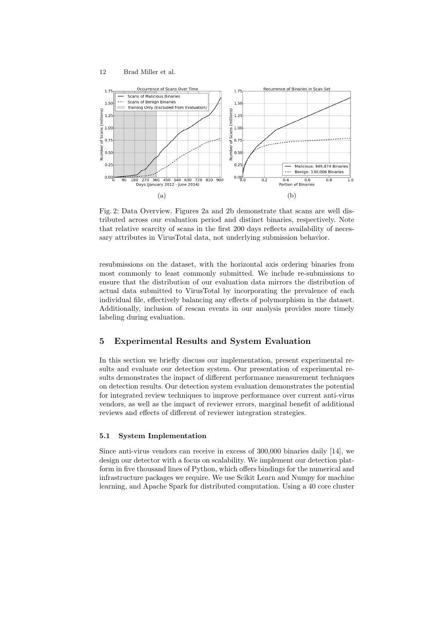

Fig. 2: Data Overview. Figures 2a and 2b demonstrate that scans are well distributed across our evaluation period and distinct binaries, respectively. Note that relative scarcity of scans in the first 200 days reflects availability of necessary attributes in VirusTotal data, not underlying submission behavior.

resubmissions on the dataset, with the horizontal axis ordering binaries from most commonly to least commonly submitted. We include re-submissions to ensure that the distribution of our evaluation data mirrors the distribution of actual data submitted to VirusTotal by incorporating the prevalence of each individual file, effectively balancing any effects of polymorphism in the dataset. Additionally, inclusion of rescan events in our analysis provides more timely labeling during evaluation.

# 5 Experimental Results and System Evaluation

In this section we briefly discuss our implementation, present experimental results and evaluate our detection system. Our presentation of experimental results demonstrates the impact of different performance measurement techniques on detection results. Our detection system evaluation demonstrates the potential for integrated review techniques to improve performance over current anti-virus vendors, as well as the impact of reviewer errors, marginal benefit of additional reviews and effects of different of reviewer integration strategies.

#### 5.1 System Implementation

Since anti-virus vendors can receive in excess of 300,000 binaries daily [14], we design our detector with a focus on scalability. We implement our detection platform in five thousand lines of Python, which offers bindings for the numerical and infrastructure packages we require. We use Scikit Learn and Numpy for machine learning, and Apache Spark for distributed computation. Using a 40 core cluster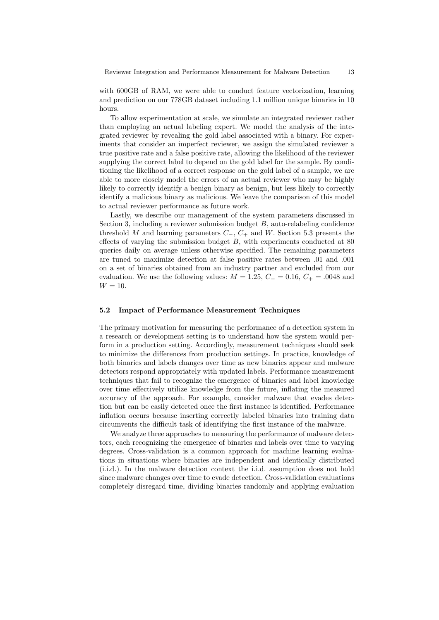with  $600GB$  of RAM, we were able to conduct feature vectorization, learning and prediction on our 778GB dataset including 1.1 million unique binaries in 10 hours.

To allow experimentation at scale, we simulate an integrated reviewer rather than employing an actual labeling expert. We model the analysis of the integrated reviewer by revealing the gold label associated with a binary. For experiments that consider an imperfect reviewer, we assign the simulated reviewer a true positive rate and a false positive rate, allowing the likelihood of the reviewer supplying the correct label to depend on the gold label for the sample. By conditioning the likelihood of a correct response on the gold label of a sample, we are able to more closely model the errors of an actual reviewer who may be highly likely to correctly identify a benign binary as benign, but less likely to correctly identify a malicious binary as malicious. We leave the comparison of this model to actual reviewer performance as future work.

Lastly, we describe our management of the system parameters discussed in Section 3, including a reviewer submission budget  $B$ , auto-relabeling confidence threshold M and learning parameters  $C_-, C_+$  and W. Section 5.3 presents the effects of varying the submission budget  $B$ , with experiments conducted at 80 queries daily on average unless otherwise specified. The remaining parameters are tuned to maximize detection at false positive rates between .01 and .001 on a set of binaries obtained from an industry partner and excluded from our evaluation. We use the following values:  $M = 1.25, C = 0.16, C_{+} = .0048$  and  $W = 10.$ 

#### 5.2 Impact of Performance Measurement Techniques

The primary motivation for measuring the performance of a detection system in a research or development setting is to understand how the system would perform in a production setting. Accordingly, measurement techniques should seek to minimize the differences from production settings. In practice, knowledge of both binaries and labels changes over time as new binaries appear and malware detectors respond appropriately with updated labels. Performance measurement techniques that fail to recognize the emergence of binaries and label knowledge over time effectively utilize knowledge from the future, inflating the measured accuracy of the approach. For example, consider malware that evades detection but can be easily detected once the first instance is identified. Performance inflation occurs because inserting correctly labeled binaries into training data circumvents the difficult task of identifying the first instance of the malware.

We analyze three approaches to measuring the performance of malware detectors, each recognizing the emergence of binaries and labels over time to varying degrees. Cross-validation is a common approach for machine learning evaluations in situations where binaries are independent and identically distributed (i.i.d.). In the malware detection context the i.i.d. assumption does not hold since malware changes over time to evade detection. Cross-validation evaluations completely disregard time, dividing binaries randomly and applying evaluation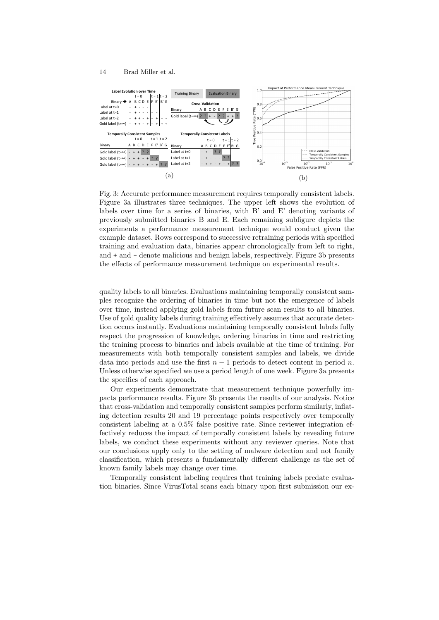



Fig. 3: Accurate performance measurement requires temporally consistent labels. Figure 3a illustrates three techniques. The upper left shows the evolution of labels over time for a series of binaries, with B' and E' denoting variants of previously submitted binaries B and E. Each remaining subfigure depicts the experiments a performance measurement technique would conduct given the example dataset. Rows correspond to successive retraining periods with specified training and evaluation data, binaries appear chronologically from left to right, and + and - denote malicious and benign labels, respectively. Figure 3b presents the effects of performance measurement technique on experimental results.

quality labels to all binaries. Evaluations maintaining temporally consistent samples recognize the ordering of binaries in time but not the emergence of labels over time, instead applying gold labels from future scan results to all binaries. Use of gold quality labels during training effectively assumes that accurate detection occurs instantly. Evaluations maintaining temporally consistent labels fully respect the progression of knowledge, ordering binaries in time and restricting the training process to binaries and labels available at the time of training. For measurements with both temporally consistent samples and labels, we divide data into periods and use the first  $n - 1$  periods to detect content in period n. Unless otherwise specified we use a period length of one week. Figure 3a presents the specifics of each approach.

Our experiments demonstrate that measurement technique powerfully impacts performance results. Figure 3b presents the results of our analysis. Notice that cross-validation and temporally consistent samples perform similarly, inflating detection results 20 and 19 percentage points respectively over temporally consistent labeling at a 0.5% false positive rate. Since reviewer integration effectively reduces the impact of temporally consistent labels by revealing future labels, we conduct these experiments without any reviewer queries. Note that our conclusions apply only to the setting of malware detection and not family classification, which presents a fundamentally different challenge as the set of known family labels may change over time.

Temporally consistent labeling requires that training labels predate evaluation binaries. Since VirusTotal scans each binary upon first submission our ex-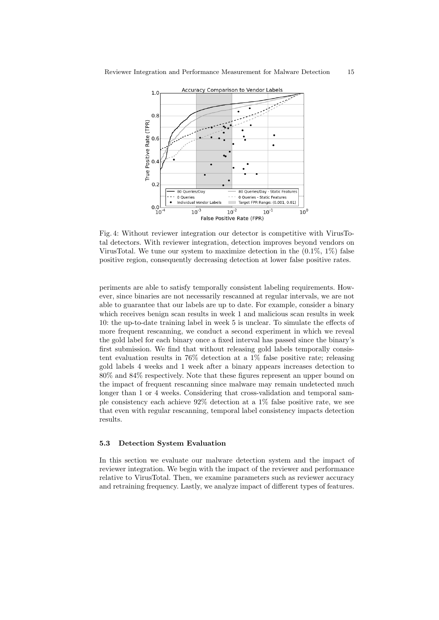

Fig. 4: Without reviewer integration our detector is competitive with VirusTotal detectors. With reviewer integration, detection improves beyond vendors on VirusTotal. We tune our system to maximize detection in the  $(0.1\%, 1\%)$  false positive region, consequently decreasing detection at lower false positive rates.

periments are able to satisfy temporally consistent labeling requirements. However, since binaries are not necessarily rescanned at regular intervals, we are not able to guarantee that our labels are up to date. For example, consider a binary which receives benign scan results in week 1 and malicious scan results in week 10: the up-to-date training label in week 5 is unclear. To simulate the effects of more frequent rescanning, we conduct a second experiment in which we reveal the gold label for each binary once a fixed interval has passed since the binary's first submission. We find that without releasing gold labels temporally consistent evaluation results in 76% detection at a 1% false positive rate; releasing gold labels 4 weeks and 1 week after a binary appears increases detection to 80% and 84% respectively. Note that these figures represent an upper bound on the impact of frequent rescanning since malware may remain undetected much longer than 1 or 4 weeks. Considering that cross-validation and temporal sample consistency each achieve 92% detection at a 1% false positive rate, we see that even with regular rescanning, temporal label consistency impacts detection results.

## 5.3 Detection System Evaluation

In this section we evaluate our malware detection system and the impact of reviewer integration. We begin with the impact of the reviewer and performance relative to VirusTotal. Then, we examine parameters such as reviewer accuracy and retraining frequency. Lastly, we analyze impact of different types of features.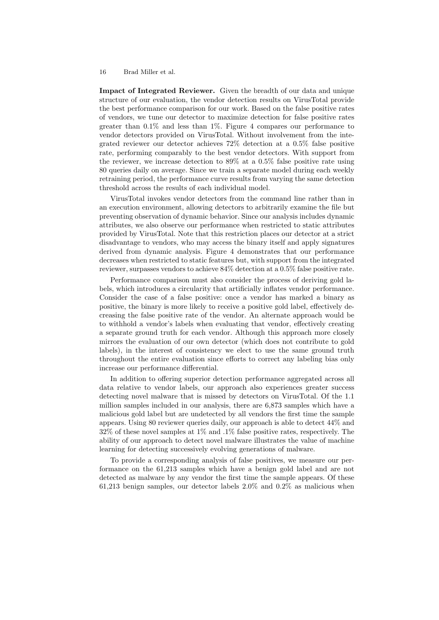Impact of Integrated Reviewer. Given the breadth of our data and unique structure of our evaluation, the vendor detection results on VirusTotal provide the best performance comparison for our work. Based on the false positive rates of vendors, we tune our detector to maximize detection for false positive rates greater than 0.1% and less than 1%. Figure 4 compares our performance to vendor detectors provided on VirusTotal. Without involvement from the integrated reviewer our detector achieves 72% detection at a 0.5% false positive rate, performing comparably to the best vendor detectors. With support from the reviewer, we increase detection to 89% at a 0.5% false positive rate using 80 queries daily on average. Since we train a separate model during each weekly retraining period, the performance curve results from varying the same detection threshold across the results of each individual model.

VirusTotal invokes vendor detectors from the command line rather than in an execution environment, allowing detectors to arbitrarily examine the file but preventing observation of dynamic behavior. Since our analysis includes dynamic attributes, we also observe our performance when restricted to static attributes provided by VirusTotal. Note that this restriction places our detector at a strict disadvantage to vendors, who may access the binary itself and apply signatures derived from dynamic analysis. Figure 4 demonstrates that our performance decreases when restricted to static features but, with support from the integrated reviewer, surpasses vendors to achieve 84% detection at a 0.5% false positive rate.

Performance comparison must also consider the process of deriving gold labels, which introduces a circularity that artificially inflates vendor performance. Consider the case of a false positive: once a vendor has marked a binary as positive, the binary is more likely to receive a positive gold label, effectively decreasing the false positive rate of the vendor. An alternate approach would be to withhold a vendor's labels when evaluating that vendor, effectively creating a separate ground truth for each vendor. Although this approach more closely mirrors the evaluation of our own detector (which does not contribute to gold labels), in the interest of consistency we elect to use the same ground truth throughout the entire evaluation since efforts to correct any labeling bias only increase our performance differential.

In addition to offering superior detection performance aggregated across all data relative to vendor labels, our approach also experiences greater success detecting novel malware that is missed by detectors on VirusTotal. Of the 1.1 million samples included in our analysis, there are 6,873 samples which have a malicious gold label but are undetected by all vendors the first time the sample appears. Using 80 reviewer queries daily, our approach is able to detect 44% and 32% of these novel samples at 1% and .1% false positive rates, respectively. The ability of our approach to detect novel malware illustrates the value of machine learning for detecting successively evolving generations of malware.

To provide a corresponding analysis of false positives, we measure our performance on the 61,213 samples which have a benign gold label and are not detected as malware by any vendor the first time the sample appears. Of these 61,213 benign samples, our detector labels 2.0% and 0.2% as malicious when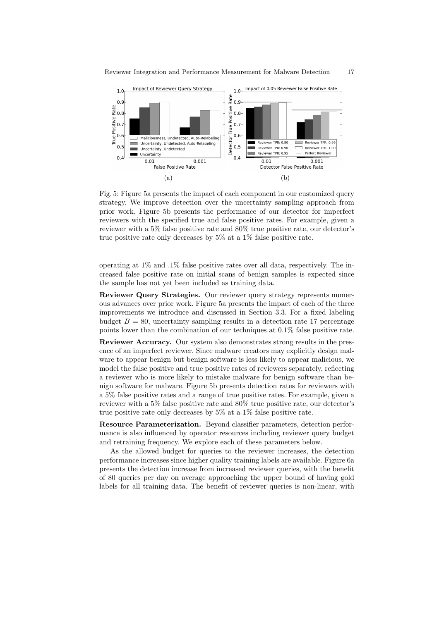

Fig. 5: Figure 5a presents the impact of each component in our customized query strategy. We improve detection over the uncertainty sampling approach from prior work. Figure 5b presents the performance of our detector for imperfect reviewers with the specified true and false positive rates. For example, given a reviewer with a 5% false positive rate and 80% true positive rate, our detector's true positive rate only decreases by 5% at a 1% false positive rate.

operating at 1% and .1% false positive rates over all data, respectively. The increased false positive rate on initial scans of benign samples is expected since the sample has not yet been included as training data.

Reviewer Query Strategies. Our reviewer query strategy represents numerous advances over prior work. Figure 5a presents the impact of each of the three improvements we introduce and discussed in Section 3.3. For a fixed labeling budget  $B = 80$ , uncertainty sampling results in a detection rate 17 percentage points lower than the combination of our techniques at 0.1% false positive rate.

Reviewer Accuracy. Our system also demonstrates strong results in the presence of an imperfect reviewer. Since malware creators may explicitly design malware to appear benign but benign software is less likely to appear malicious, we model the false positive and true positive rates of reviewers separately, reflecting a reviewer who is more likely to mistake malware for benign software than benign software for malware. Figure 5b presents detection rates for reviewers with a 5% false positive rates and a range of true positive rates. For example, given a reviewer with a 5% false positive rate and 80% true positive rate, our detector's true positive rate only decreases by 5% at a 1% false positive rate.

Resource Parameterization. Beyond classifier parameters, detection performance is also influenced by operator resources including reviewer query budget and retraining frequency. We explore each of these parameters below.

As the allowed budget for queries to the reviewer increases, the detection performance increases since higher quality training labels are available. Figure 6a presents the detection increase from increased reviewer queries, with the benefit of 80 queries per day on average approaching the upper bound of having gold labels for all training data. The benefit of reviewer queries is non-linear, with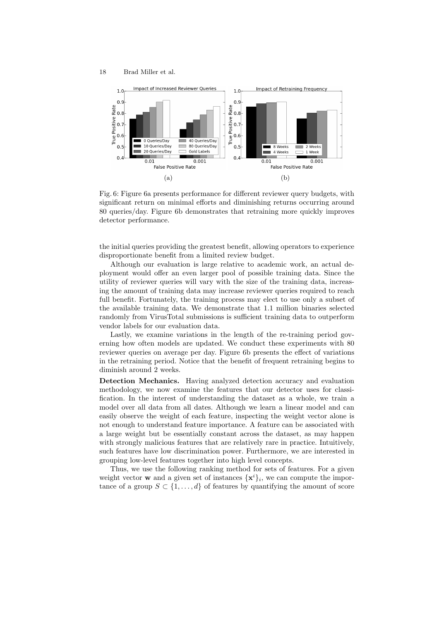

Fig. 6: Figure 6a presents performance for different reviewer query budgets, with significant return on minimal efforts and diminishing returns occurring around 80 queries/day. Figure 6b demonstrates that retraining more quickly improves detector performance.

the initial queries providing the greatest benefit, allowing operators to experience disproportionate benefit from a limited review budget.

Although our evaluation is large relative to academic work, an actual deployment would offer an even larger pool of possible training data. Since the utility of reviewer queries will vary with the size of the training data, increasing the amount of training data may increase reviewer queries required to reach full benefit. Fortunately, the training process may elect to use only a subset of the available training data. We demonstrate that 1.1 million binaries selected randomly from VirusTotal submissions is sufficient training data to outperform vendor labels for our evaluation data.

Lastly, we examine variations in the length of the re-training period governing how often models are updated. We conduct these experiments with 80 reviewer queries on average per day. Figure 6b presents the effect of variations in the retraining period. Notice that the benefit of frequent retraining begins to diminish around 2 weeks.

Detection Mechanics. Having analyzed detection accuracy and evaluation methodology, we now examine the features that our detector uses for classification. In the interest of understanding the dataset as a whole, we train a model over all data from all dates. Although we learn a linear model and can easily observe the weight of each feature, inspecting the weight vector alone is not enough to understand feature importance. A feature can be associated with a large weight but be essentially constant across the dataset, as may happen with strongly malicious features that are relatively rare in practice. Intuitively, such features have low discrimination power. Furthermore, we are interested in grouping low-level features together into high level concepts.

Thus, we use the following ranking method for sets of features. For a given weight vector **w** and a given set of instances  $\{x^i\}_i$ , we can compute the importance of a group  $S \subset \{1, \ldots, d\}$  of features by quantifying the amount of score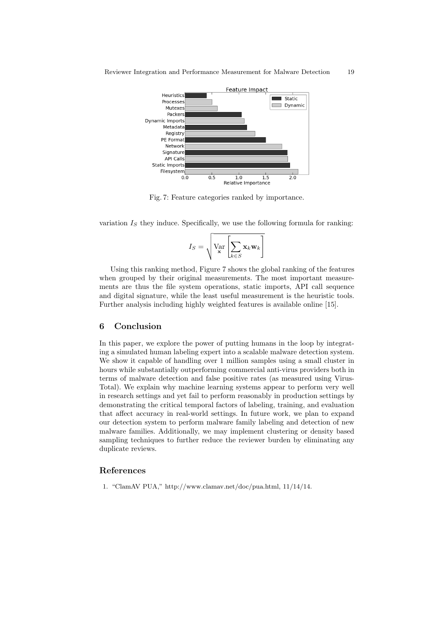

Fig. 7: Feature categories ranked by importance.

variation  $I<sub>S</sub>$  they induce. Specifically, we use the following formula for ranking:

$$
I_S = \sqrt{\text{Var}\left[\sum_{k \in S} \mathbf{x}_k \mathbf{w}_k\right]}
$$

Using this ranking method, Figure 7 shows the global ranking of the features when grouped by their original measurements. The most important measurements are thus the file system operations, static imports, API call sequence and digital signature, while the least useful measurement is the heuristic tools. Further analysis including highly weighted features is available online [15].

## 6 Conclusion

In this paper, we explore the power of putting humans in the loop by integrating a simulated human labeling expert into a scalable malware detection system. We show it capable of handling over 1 million samples using a small cluster in hours while substantially outperforming commercial anti-virus providers both in terms of malware detection and false positive rates (as measured using Virus-Total). We explain why machine learning systems appear to perform very well in research settings and yet fail to perform reasonably in production settings by demonstrating the critical temporal factors of labeling, training, and evaluation that affect accuracy in real-world settings. In future work, we plan to expand our detection system to perform malware family labeling and detection of new malware families. Additionally, we may implement clustering or density based sampling techniques to further reduce the reviewer burden by eliminating any duplicate reviews.

## References

1. "ClamAV PUA," http://www.clamav.net/doc/pua.html, 11/14/14.